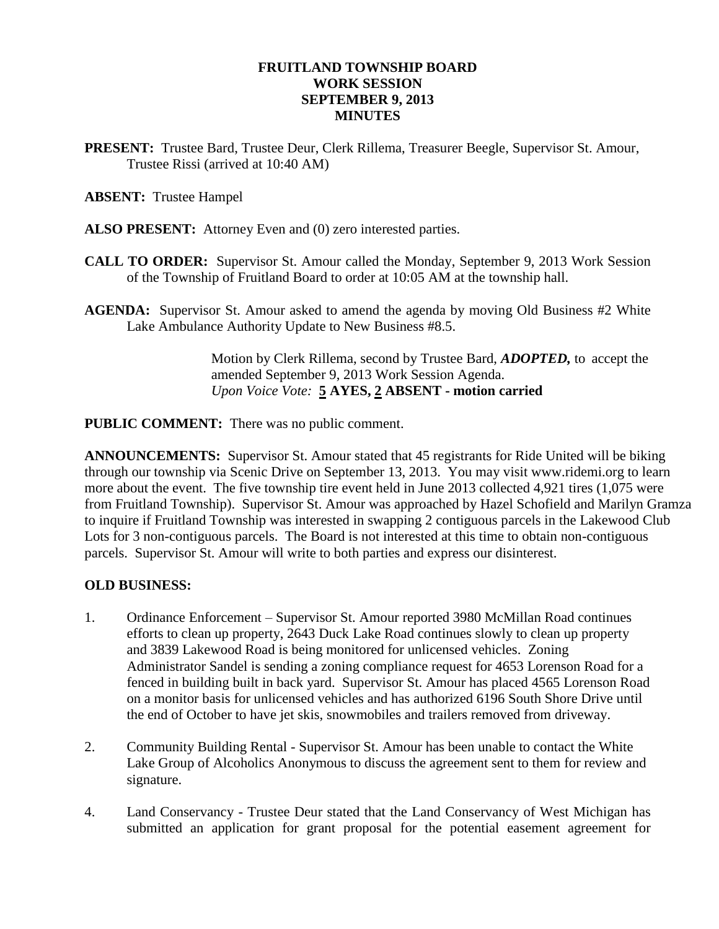# **FRUITLAND TOWNSHIP BOARD WORK SESSION SEPTEMBER 9, 2013 MINUTES**

**PRESENT:** Trustee Bard, Trustee Deur, Clerk Rillema, Treasurer Beegle, Supervisor St. Amour, Trustee Rissi (arrived at 10:40 AM)

## **ABSENT:** Trustee Hampel

- **ALSO PRESENT:** Attorney Even and (0) zero interested parties.
- **CALL TO ORDER:** Supervisor St. Amour called the Monday, September 9, 2013 Work Session of the Township of Fruitland Board to order at 10:05 AM at the township hall.
- **AGENDA:** Supervisor St. Amour asked to amend the agenda by moving Old Business #2 White Lake Ambulance Authority Update to New Business #8.5.

Motion by Clerk Rillema, second by Trustee Bard, *ADOPTED,* to accept the amended September 9, 2013 Work Session Agenda. *Upon Voice Vote:* **5 AYES, 2 ABSENT - motion carried**

**PUBLIC COMMENT:** There was no public comment.

**ANNOUNCEMENTS:** Supervisor St. Amour stated that 45 registrants for Ride United will be biking through our township via Scenic Drive on September 13, 2013. You may visit www.ridemi.org to learn more about the event. The five township tire event held in June 2013 collected 4,921 tires (1,075 were from Fruitland Township). Supervisor St. Amour was approached by Hazel Schofield and Marilyn Gramza to inquire if Fruitland Township was interested in swapping 2 contiguous parcels in the Lakewood Club Lots for 3 non-contiguous parcels. The Board is not interested at this time to obtain non-contiguous parcels. Supervisor St. Amour will write to both parties and express our disinterest.

### **OLD BUSINESS:**

- 1. Ordinance Enforcement Supervisor St. Amour reported 3980 McMillan Road continues efforts to clean up property, 2643 Duck Lake Road continues slowly to clean up property and 3839 Lakewood Road is being monitored for unlicensed vehicles. Zoning Administrator Sandel is sending a zoning compliance request for 4653 Lorenson Road for a fenced in building built in back yard. Supervisor St. Amour has placed 4565 Lorenson Road on a monitor basis for unlicensed vehicles and has authorized 6196 South Shore Drive until the end of October to have jet skis, snowmobiles and trailers removed from driveway.
- 2. Community Building Rental Supervisor St. Amour has been unable to contact the White Lake Group of Alcoholics Anonymous to discuss the agreement sent to them for review and signature.
- 4. Land Conservancy Trustee Deur stated that the Land Conservancy of West Michigan has submitted an application for grant proposal for the potential easement agreement for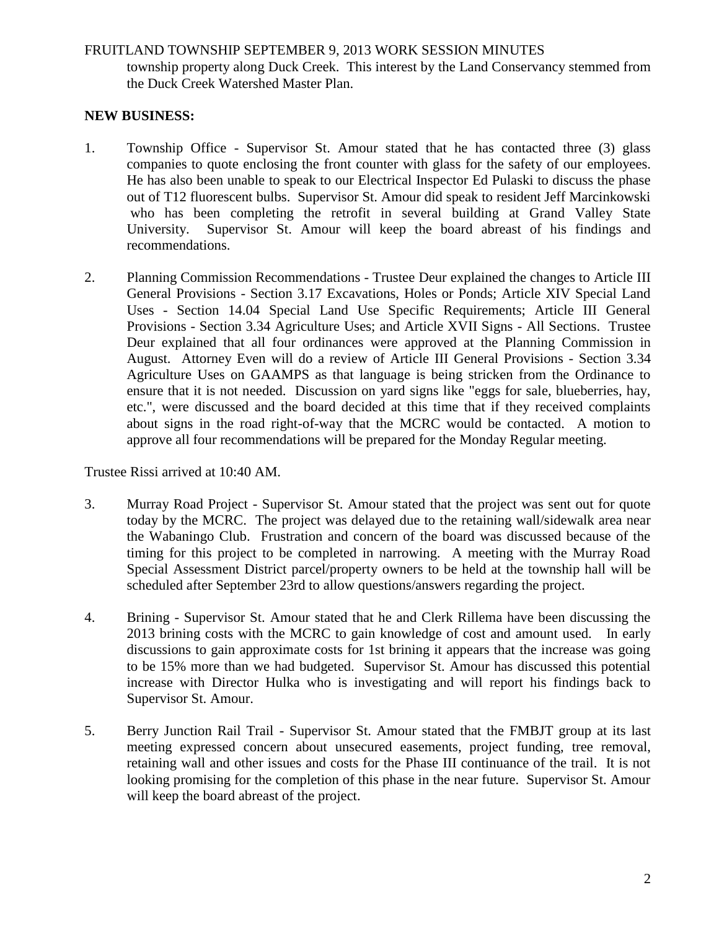#### FRUITLAND TOWNSHIP SEPTEMBER 9, 2013 WORK SESSION MINUTES

township property along Duck Creek. This interest by the Land Conservancy stemmed from the Duck Creek Watershed Master Plan.

## **NEW BUSINESS:**

- 1. Township Office Supervisor St. Amour stated that he has contacted three (3) glass companies to quote enclosing the front counter with glass for the safety of our employees. He has also been unable to speak to our Electrical Inspector Ed Pulaski to discuss the phase out of T12 fluorescent bulbs. Supervisor St. Amour did speak to resident Jeff Marcinkowski who has been completing the retrofit in several building at Grand Valley State University. Supervisor St. Amour will keep the board abreast of his findings and recommendations.
- 2. Planning Commission Recommendations Trustee Deur explained the changes to Article III General Provisions - Section 3.17 Excavations, Holes or Ponds; Article XIV Special Land Uses - Section 14.04 Special Land Use Specific Requirements; Article III General Provisions - Section 3.34 Agriculture Uses; and Article XVII Signs - All Sections. Trustee Deur explained that all four ordinances were approved at the Planning Commission in August. Attorney Even will do a review of Article III General Provisions - Section 3.34 Agriculture Uses on GAAMPS as that language is being stricken from the Ordinance to ensure that it is not needed. Discussion on yard signs like "eggs for sale, blueberries, hay, etc.", were discussed and the board decided at this time that if they received complaints about signs in the road right-of-way that the MCRC would be contacted. A motion to approve all four recommendations will be prepared for the Monday Regular meeting.

Trustee Rissi arrived at 10:40 AM.

- 3. Murray Road Project Supervisor St. Amour stated that the project was sent out for quote today by the MCRC. The project was delayed due to the retaining wall/sidewalk area near the Wabaningo Club. Frustration and concern of the board was discussed because of the timing for this project to be completed in narrowing. A meeting with the Murray Road Special Assessment District parcel/property owners to be held at the township hall will be scheduled after September 23rd to allow questions/answers regarding the project.
- 4. Brining Supervisor St. Amour stated that he and Clerk Rillema have been discussing the 2013 brining costs with the MCRC to gain knowledge of cost and amount used. In early discussions to gain approximate costs for 1st brining it appears that the increase was going to be 15% more than we had budgeted. Supervisor St. Amour has discussed this potential increase with Director Hulka who is investigating and will report his findings back to Supervisor St. Amour.
- 5. Berry Junction Rail Trail Supervisor St. Amour stated that the FMBJT group at its last meeting expressed concern about unsecured easements, project funding, tree removal, retaining wall and other issues and costs for the Phase III continuance of the trail. It is not looking promising for the completion of this phase in the near future. Supervisor St. Amour will keep the board abreast of the project.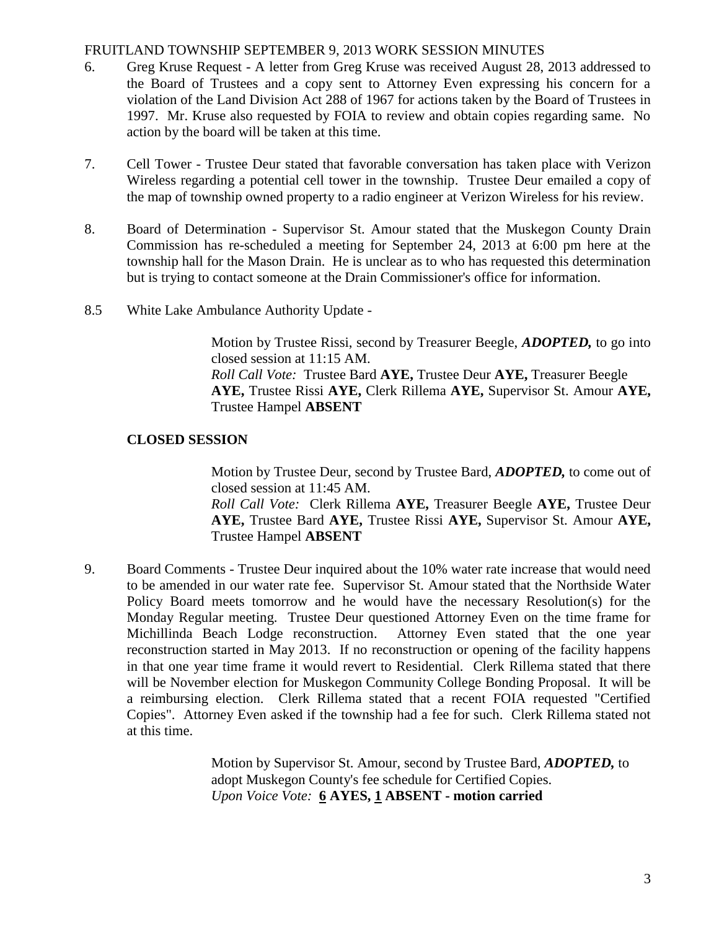## FRUITLAND TOWNSHIP SEPTEMBER 9, 2013 WORK SESSION MINUTES

- 6. Greg Kruse Request A letter from Greg Kruse was received August 28, 2013 addressed to the Board of Trustees and a copy sent to Attorney Even expressing his concern for a violation of the Land Division Act 288 of 1967 for actions taken by the Board of Trustees in 1997. Mr. Kruse also requested by FOIA to review and obtain copies regarding same. No action by the board will be taken at this time.
- 7. Cell Tower Trustee Deur stated that favorable conversation has taken place with Verizon Wireless regarding a potential cell tower in the township. Trustee Deur emailed a copy of the map of township owned property to a radio engineer at Verizon Wireless for his review.
- 8. Board of Determination Supervisor St. Amour stated that the Muskegon County Drain Commission has re-scheduled a meeting for September 24, 2013 at 6:00 pm here at the township hall for the Mason Drain. He is unclear as to who has requested this determination but is trying to contact someone at the Drain Commissioner's office for information.
- 8.5 White Lake Ambulance Authority Update -

Motion by Trustee Rissi, second by Treasurer Beegle, *ADOPTED,* to go into closed session at 11:15 AM. *Roll Call Vote:* Trustee Bard **AYE,** Trustee Deur **AYE,** Treasurer Beegle **AYE,** Trustee Rissi **AYE,** Clerk Rillema **AYE,** Supervisor St. Amour **AYE,**  Trustee Hampel **ABSENT**

# **CLOSED SESSION**

Motion by Trustee Deur, second by Trustee Bard, *ADOPTED,* to come out of closed session at 11:45 AM.

*Roll Call Vote:* Clerk Rillema **AYE,** Treasurer Beegle **AYE,** Trustee Deur **AYE,** Trustee Bard **AYE,** Trustee Rissi **AYE,** Supervisor St. Amour **AYE,**  Trustee Hampel **ABSENT**

9. Board Comments - Trustee Deur inquired about the 10% water rate increase that would need to be amended in our water rate fee. Supervisor St. Amour stated that the Northside Water Policy Board meets tomorrow and he would have the necessary Resolution(s) for the Monday Regular meeting. Trustee Deur questioned Attorney Even on the time frame for Michillinda Beach Lodge reconstruction. Attorney Even stated that the one year reconstruction started in May 2013. If no reconstruction or opening of the facility happens in that one year time frame it would revert to Residential. Clerk Rillema stated that there will be November election for Muskegon Community College Bonding Proposal. It will be a reimbursing election. Clerk Rillema stated that a recent FOIA requested "Certified Copies". Attorney Even asked if the township had a fee for such. Clerk Rillema stated not at this time.

> Motion by Supervisor St. Amour, second by Trustee Bard, *ADOPTED,* to adopt Muskegon County's fee schedule for Certified Copies. *Upon Voice Vote:* **6 AYES, 1 ABSENT - motion carried**